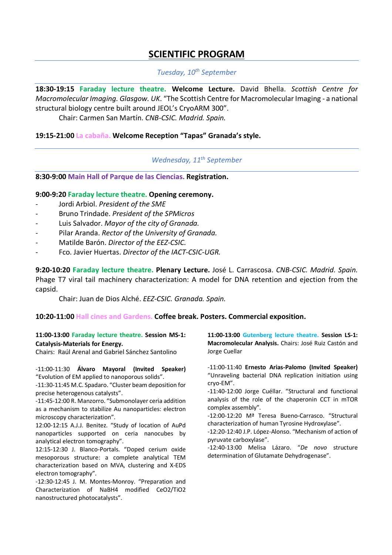# **SCIENTIFIC PROGRAM**

# *Tuesday, 10th September*

**18:30-19:15 Faraday lecture theatre. Welcome Lecture.** David Bhella. *Scottish Centre for Macromolecular Imaging. Glasgow. UK*. "The Scottish Centre for Macromolecular Imaging - a national structural biology centre built around JEOL's CryoARM 300".

Chair: Carmen San Martín. *CNB-CSIC. Madrid. Spain.*

### **19:15-21:00 La cabaña. Welcome Reception "Tapas" Granada's style.**

# *Wednesday, 11th September*

# **8:30-9:00 Main Hall of Parque de las Ciencias. Registration.**

### **9:00-9:20 Faraday lecture theatre. Opening ceremony.**

- Jordi Arbiol. President of the SME
- Bruno Trindade. *President of the SPMicros*
- Luis Salvador. *Mayor of the city of Granada.*
- Pilar Aranda. *Rector of the University of Granada.*
- Matilde Barón. *Director of the EEZ-CSIC.*
- Fco. Javier Huertas. *Director of the IACT-CSIC-UGR.*

**9:20-10:20 Faraday lecture theatre. Plenary Lecture.** José L. Carrascosa. *CNB-CSIC. Madrid. Spain.*  Phage T7 viral tail machinery characterization: A model for DNA retention and ejection from the capsid.

Chair: Juan de Dios Alché. *EEZ-CSIC. Granada. Spain.*

### **10:20-11:00 Hall cines and Gardens. Coffee break. Posters. Commercial exposition.**

#### **11:00-13:00 Faraday lecture theatre. Session MS-1: Catalysis-Materials for Energy.**

Chairs: Raúl Arenal and Gabriel Sánchez Santolino

-11:00-11:30 **Álvaro Mayoral (Invited Speaker)** "Evolution of EM applied to nanoporous solids".

-11:30-11:45 M.C. Spadaro. "Cluster beam deposition for precise heterogenous catalysts".

-11:45-12:00 R. Manzorro. "Submonolayer ceria addition as a mechanism to stabilize Au nanoparticles: electron microscopy characterization".

12:00-12:15 A.J.J. Benitez. "Study of location of AuPd nanoparticles supported on ceria nanocubes by analytical electron tomography".

12:15-12:30 J. Blanco-Portals. "Doped cerium oxide mesoporous structure: a complete analytical TEM characterization based on MVA, clustering and X-EDS electron tomography".

-12:30-12:45 J. M. Montes-Monroy. "Preparation and Characterization of NaBH4 modified CeO2/TiO2 nanostructured photocatalysts".

**11:00-13:00 Gutenberg lecture theatre. Session LS-1: Macromolecular Analysis.** Chairs: José Ruiz Castón and Jorge Cuellar

-11:00-11:40 **Ernesto Arias-Palomo (Invited Speaker)** "Unraveling bacterial DNA replication initiation using cryo-EM".

-11:40-12:00 Jorge Cuéllar. "Structural and functional analysis of the role of the chaperonin CCT in mTOR complex assembly".

-12:00-12:20 Mª Teresa Bueno-Carrasco. "Structural characterization of human Tyrosine Hydroxylase".

-12:20-12:40 J.P. López-Alonso. "Mechanism of action of pyruvate carboxylase".

-12:40-13:00 Melisa Lázaro. "*De novo* structure determination of Glutamate Dehydrogenase".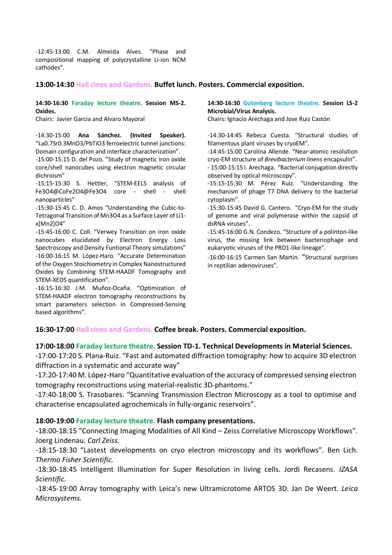-12:45-13:00 C.M. Almeida Alves. "Phase and compositional mapping of polycrystalline Li-ion NCM cathodes".

### **13:00-14:30 Hall cines and Gardens. Buffet lunch. Posters. Commercial exposition.**

#### **14:30-16:30 Faraday lecture theatre. Session MS-2. Oxides.**

Chairs: Javier Garcia and Alvaro Mayoral

-14:30-15:00 **Ana Sánchez. (Invited Speaker).** "La0.7Sr0.3MnO3/PbTiO3 ferroelectric tunnel junctions: Domain configuration and interface characterization".

-15:00-15:15 D. del Pozo. "Study of magnetic iron oxide core/shell nanocubes using electron magnetic circular dichroism"

-15:15-15:30 S. Hettler, "STEM-EELS analysis of Fe3O4@CoFe2O4@Fe3O4 core - shell - shell nanoparticles"

-15:30-15:45 C. D. Amos "Understanding the Cubic-to-Tetragonal Transition of Mn3O4 as a Surface Layer of Li1 x[Mn2]O4"

-15:45-16:00 C. Coll. "Verwey Transition on iron oxide nanocubes elucidated by Electron Energy Loss Spectroscopy and Density Funtional Theory simulations" -16:00-16:15 M. López-Haro. "Accurate Determination of the Oxygen Stoichiometry in Complex Nanostructured Oxides by Combining STEM-HAADF Tomography and STEM-XEDS quantification".

-16:15-16:30 J.M. Muñoz-Ocaña. "Optimization of STEM-HAADF electron tomography reconstructions by smart parameters selection in Compressed-Sensing based algorithms".

#### **14:30-16:30 Gutenberg lecture theatre. Session LS-2 Microbial/Virus Analysis.**

Chairs: Ignacio Arechaga and Jose Ruiz Castón

-14:30-14:45 Rebeca Cuesta. "Structural studies of filamentous plant viruses by cryoEM".

-14:45-15:00 Carolina Allende. "Near-atomic resolution cryo-EM structure of *Brevibacterium linens* encapsulin". - 15:00-15:15 I. Arechaga. "Bacterial conjugation directly observed by optical microscopy".

-15:15-15:30 M. Pérez Ruiz. "Understanding the mechanism of phage T7 DNA delivery to the bacterial cytoplasm".

-15:30-15:45 David G. Cantero. "Cryo-EM for the study of genome and viral polymerase within the capsid of dsRNA viruses".

-15:45-16:00 G.N. Condezo. "Structure of a polinton-like virus, the missing link between bacteriophage and eukaryotic viruses of the PRD1-like lineage".

-16:00-16:15 Carmen San Martin. "Structural surprises in reptilian adenoviruses".

# **16:30-17:00 Hall cines and Gardens. Coffee break. Posters. Commercial exposition.**

### **17:00-18:00 Faraday lecture theatre. Session TD-1. Technical Developments in Material Sciences.**

-17:00-17:20 S. Plana-Ruiz. "Fast and automated diffraction tomography: how to acquire 3D electron diffraction in a systematic and accurate way"

-17:20-17:40 M. López-Haro "Quantitative evaluation of the accuracy of compressed sensing electron tomography reconstructions using material-realistic 3D-phantoms."

-17:40-18:00 S. Trasobares. "Scanning Transmission Electron Microscopy as a tool to optimise and characterise encapsulated agrochemicals in fully-organic reservoirs".

### **18:00-19:00 Faraday lecture theatre. Flash company presentations.**

-18:00-18:15 "Connecting Imaging Modalities of All Kind – Zeiss Correlative Microscopy Workflows". Joerg Lindenau. *Carl Zeiss.*

-18:15-18:30 "Lastest developments on cryo electron microscopy and its workflows". Ben Lich. *Thermo Fisher Scientific.*

-18:30-18:45 Intelligent Illumination for Super Resolution in living cells. Jordi Recasens. *IZASA Scientific.*

-18:45-19:00 Array tomography with Leica's new Ultramicrotome ARTOS 3D. Jan De Weert. *Leica Microsystems.*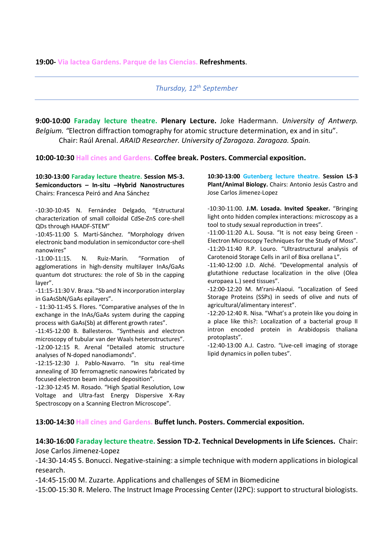*Thursday, 12th September*

**9:00-10:00 Faraday lecture theatre. Plenary Lecture.** Joke Hadermann. *University of Antwerp. Belgium. "*Electron diffraction tomography for atomic structure determination, ex and in situ". Chair: Raúl Arenal. *ARAID Researcher. University of Zaragoza. Zaragoza. Spain.*

### **10:00-10:30 Hall cines and Gardens. Coffee break. Posters. Commercial exposition.**

**10:30-13:00 Faraday lecture theatre. Session MS-3. Semiconductors – In-situ –Hybrid Nanostructures**  Chairs: Francesca Peiró and Ana Sánchez

-10:30-10:45 N. Fernández Delgado, "Estructural characterization of small colloidal CdSe-ZnS core-shell QDs through HAADF-STEM"

-10:45-11:00 S. Martí-Sánchez. "Morphology driven electronic band modulation in semiconductor core-shell nanowires"

-11:00-11:15. N. Ruiz-Marín. "Formation of agglomerations in high-density multilayer InAs/GaAs quantum dot structures: the role of Sb in the capping layer".

-11:15-11:30 V. Braza. "Sb and N incorporation interplay in GaAsSbN/GaAs epilayers".

- 11:30-11:45 S. Flores. "Comparative analyses of the In exchange in the InAs/GaAs system during the capping process with GaAs(Sb) at different growth rates".

-11:45-12:00 B. Ballesteros. "Synthesis and electron microscopy of tubular van der Waals heterostructures". -12:00-12:15 R. Arenal "Detailed atomic structure analyses of N-doped nanodiamonds".

-12:15-12:30 J. Pablo-Navarro. "In situ real-time annealing of 3D ferromagnetic nanowires fabricated by focused electron beam induced deposition".

-12:30-12:45 M. Rosado. "High Spatial Resolution, Low Voltage and Ultra-fast Energy Dispersive X-Ray Spectroscopy on a Scanning Electron Microscope".

**10:30-13:00 Gutenberg lecture theatre. Session LS-3 Plant/Animal Biology.** Chairs: Antonio Jesús Castro and Jose Carlos Jimenez-Lopez

-10:30-11:00. **J.M. Losada. Invited Speaker.** "Bringing light onto hidden complex interactions: microscopy as a tool to study sexual reproduction in trees".

-11:00-11:20 A.L. Sousa. "It is not easy being Green - Electron Microscopy Techniques for the Study of Moss". -11:20-11:40 R.P. Louro. "Ultrastructural analysis of Carotenoid Storage Cells in aril of Bixa orellana L".

-11:40-12:00 J.D. Alché. "Developmental analysis of glutathione reductase localization in the olive (Olea europaea L.) seed tissues".

-12:00-12:20 M. M'rani-Alaoui. "Localization of Seed Storage Proteins (SSPs) in seeds of olive and nuts of agricultural/alimentary interest".

-12:20-12:40 R. Nisa. "What's a protein like you doing in a place like this?: Localization of a bacterial group II intron encoded protein in Arabidopsis thaliana protoplasts".

-12:40-13:00 A.J. Castro. "Live-cell imaging of storage lipid dynamics in pollen tubes".

### **13:00-14:30 Hall cines and Gardens. Buffet lunch. Posters. Commercial exposition.**

### **14:30-16:00 Faraday lecture theatre. Session TD-2. Technical Developments in Life Sciences.** Chair: Jose Carlos Jimenez-Lopez

-14:30-14:45 S. Bonucci. Negative-staining: a simple technique with modern applications in biological research.

-14:45-15:00 M. Zuzarte. Applications and challenges of SEM in Biomedicine

-15:00-15:30 R. Melero. The Instruct Image Processing Center (I2PC): support to structural biologists.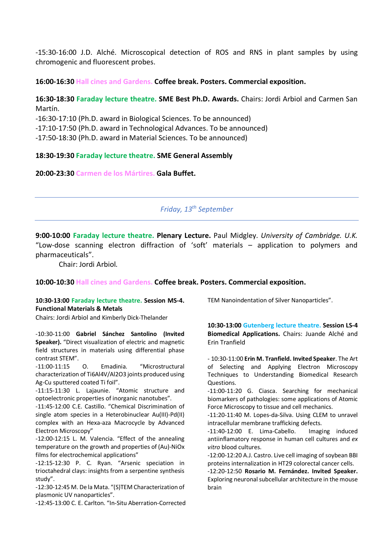-15:30-16:00 J.D. Alché. Microscopical detection of ROS and RNS in plant samples by using chromogenic and fluorescent probes.

**16:00-16:30 Hall cines and Gardens. Coffee break. Posters. Commercial exposition.**

**16:30-18:30 Faraday lecture theatre. SME Best Ph.D. Awards.** Chairs: Jordi Arbiol and Carmen San Martín.

-16:30-17:10 (Ph.D. award in Biological Sciences. To be announced)

-17:10-17:50 (Ph.D. award in Technological Advances. To be announced)

-17:50-18:30 (Ph.D. award in Material Sciences. To be announced)

# **18:30-19:30 Faraday lecture theatre. SME General Assembly**

**20:00-23:30 Carmen de los Mártires. Gala Buffet.** 

*Friday, 13th September*

**9:00-10:00 Faraday lecture theatre. Plenary Lecture.** Paul Midgley. *University of Cambridge. U.K.*  "Low-dose scanning electron diffraction of 'soft' materials – application to polymers and pharmaceuticals".

Chair: Jordi Arbiol*.*

### **10:00-10:30 Hall cines and Gardens. Coffee break. Posters. Commercial exposition.**

# **10:30-13:00 Faraday lecture theatre. Session MS-4. Functional Materials & Metals**

Chairs: Jordi Arbiol and Kimberly Dick-Thelander

-10:30-11:00 **Gabriel Sánchez Santolino (Invited Speaker).** "Direct visualization of electric and magnetic field structures in materials using differential phase contrast STEM".

-11:00-11:15 O. Emadinia. "Microstructural characterization of Ti6Al4V/Al2O3 joints produced using Ag-Cu sputtered coated Ti foil".

-11:15-11:30 L. Lajaunie. "Atomic structure and optoelectronic properties of inorganic nanotubes".

-11:45-12:00 C.E. Castillo. "Chemical Discrimination of single atom species in a Heterobinuclear Au(III)-Pd(II) complex with an Hexa-aza Macrocycle by Advanced Electron Microscopy"

-12:00-12:15 L. M. Valencia. "Effect of the annealing temperature on the growth and properties of (Au)-NiOx films for electrochemical applications"

-12:15-12:30 P. C. Ryan. "Arsenic speciation in trioctahedral clays: insights from a serpentine synthesis study".

-12:30-12:45 M. De la Mata. "(S)TEM Characterization of plasmonic UV nanoparticles".

-12:45-13:00 C. E. Carlton. "In-Situ Aberration-Corrected

TEM Nanoindentation of Silver Nanoparticles".

**10:30-13:00 Gutenberg lecture theatre. Session LS-4 Biomedical Applications.** Chairs: Juande Alché and Erin Tranfield

- 10:30-11:00 **Erin M. Tranfield. Invited Speaker**. The Art of Selecting and Applying Electron Microscopy Techniques to Understanding Biomedical Research Questions.

-11:00-11:20 G. Ciasca. Searching for mechanical biomarkers of pathologies: some applications of Atomic Force Microscopy to tissue and cell mechanics.

-11:20-11:40 M. Lopes-da-Silva. Using CLEM to unravel intracellular membrane trafficking defects.

-11:40-12:00 E. Lima-Cabello. Imaging induced antiinflamatory response in human cell cultures and *ex vitro* blood cultures.

-12:00-12:20 A.J. Castro. Live cell imaging of soybean BBI proteins internalization in HT29 colorectal cancer cells.

-12:20-12:50 **Rosario M. Fernández. Invited Speaker.** Exploring neuronal subcellular architecture in the mouse brain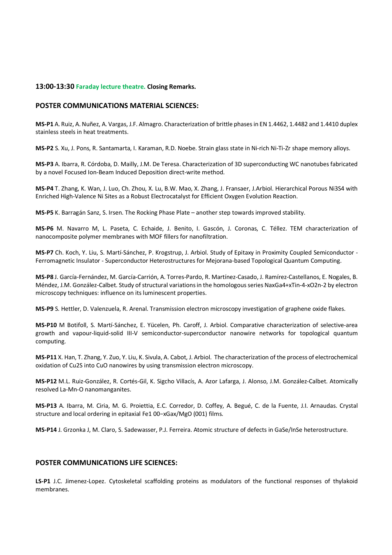#### **13:00-13:30 Faraday lecture theatre. Closing Remarks.**

#### **POSTER COMMUNICATIONS MATERIAL SCIENCES:**

**MS-P1** A. Ruiz, A. Nuñez, A. Vargas, J.F. Almagro. Characterization of brittle phases in EN 1.4462, 1.4482 and 1.4410 duplex stainless steels in heat treatments.

**MS-P2** S. Xu, J. Pons, R. Santamarta, I. Karaman, R.D. Noebe. Strain glass state in Ni-rich Ni-Ti-Zr shape memory alloys.

**MS-P3** A. Ibarra, R. Córdoba, D. Mailly, J.M. De Teresa. Characterization of 3D superconducting WC nanotubes fabricated by a novel Focused Ion-Beam Induced Deposition direct-write method.

**MS-P4** T. Zhang, K. Wan, J. Luo, Ch. Zhou, X. Lu, B.W. Mao, X. Zhang, J. Fransaer, J.Arbiol. Hierarchical Porous Ni3S4 with Enriched High-Valence Ni Sites as a Robust Electrocatalyst for Efficient Oxygen Evolution Reaction.

**MS-P5** K. Barragán Sanz, S. Irsen. The Rocking Phase Plate – another step towards improved stability.

**MS-P6** M. Navarro M, L. Paseta, C. Echaide, J. Benito, I. Gascón, J. Coronas, C. Téllez. TEM characterization of nanocomposite polymer membranes with MOF fillers for nanofiltration.

**MS-P7** Ch. Koch, Y. Liu, S. Martí-Sánchez, P. Krogstrup, J. Arbiol. Study of Epitaxy in Proximity Coupled Semiconductor - Ferromagnetic Insulator - Superconductor Heterostructures for Mejorana-based Topological Quantum Computing.

**MS-P8** J. García-Fernández, M. García-Carrión, A. Torres-Pardo, R. Martínez-Casado, J. Ramírez-Castellanos, E. Nogales, B. Méndez, J.M. González-Calbet. Study of structural variations in the homologous series NaxGa4+xTin-4-xO2n-2 by electron microscopy techniques: influence on its luminescent properties.

**MS-P9** S. Hettler, D. Valenzuela, R. Arenal. Transmission electron microscopy investigation of graphene oxide flakes.

**MS-P10** M Botifoll, S. Martí-Sánchez, E. Yücelen, Ph. Caroff, J. Arbiol. Comparative characterization of selective-area growth and vapour-liquid-solid III-V semiconductor-superconductor nanowire networks for topological quantum computing.

**MS-P11** X. Han, T. Zhang, Y. Zuo, Y. Liu, K. Sivula, A. Cabot, J. Arbiol. The characterization of the process of electrochemical oxidation of Cu2S into CuO nanowires by using transmission electron microscopy.

**MS-P12** M.L. Ruiz-González, R. Cortés-Gil, K. Sigcho Villacís, A. Azor Lafarga, J. Alonso, J.M. González-Calbet. Atomically resolved La-Mn-O nanomanganites.

**MS-P13** A. Ibarra, M. Ciria, M. G. Proiettia, E.C. Corredor, D. Coffey, A. Begué, C. de la Fuente, J.I. Arnaudas. Crystal structure and local ordering in epitaxial Fe1 00−xGax/MgO (001) films.

**MS-P14** J. Grzonka J, M. Claro, S. Sadewasser, P.J. Ferreira. Atomic structure of defects in GaSe/InSe heterostructure.

#### **POSTER COMMUNICATIONS LIFE SCIENCES:**

**LS-P1** J.C. Jimenez-Lopez. Cytoskeletal scaffolding proteins as modulators of the functional responses of thylakoid membranes.